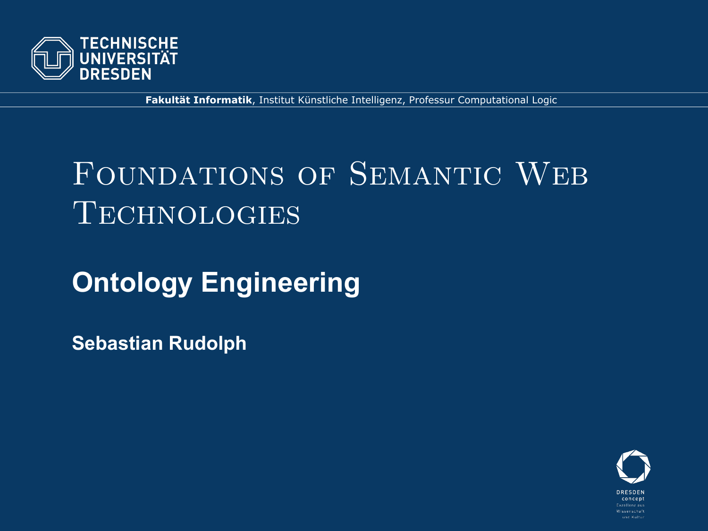

**Fakultät Informatik**, Institut Künstliche Intelligenz, Professur Computational Logic

# Foundations of Semantic Web **TECHNOLOGIES**

# **Ontology Engineering**

**Sebastian Rudolph**

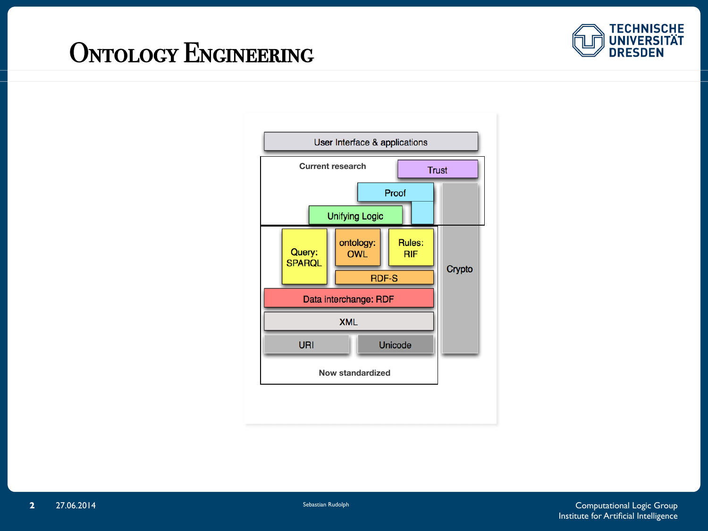#### ONTOLOGY ENGINEERING



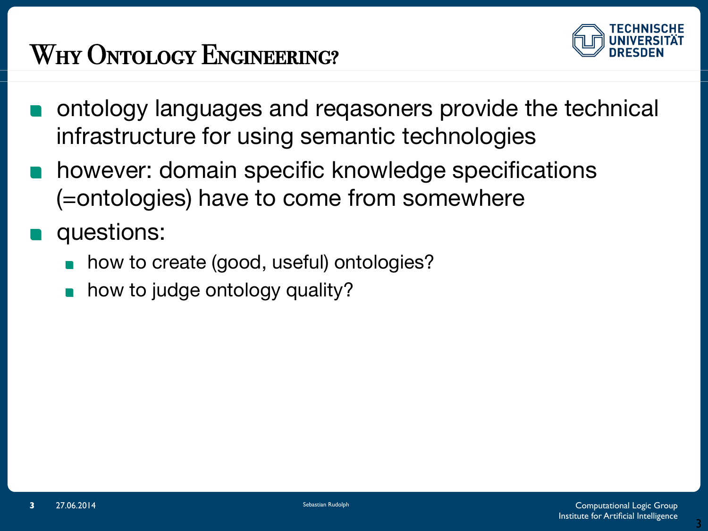# WHY ONTOLOGY ENGINEERING?



- ontology languages and reqasoners provide the technical infrastructure for using semantic technologies
- however: domain specific knowledge specifications  $\mathcal{L}(\mathcal{A})$ (=ontologies) have to come from somewhere
- questions:
	- how to create (good, useful) ontologies?
	- how to judge ontology quality?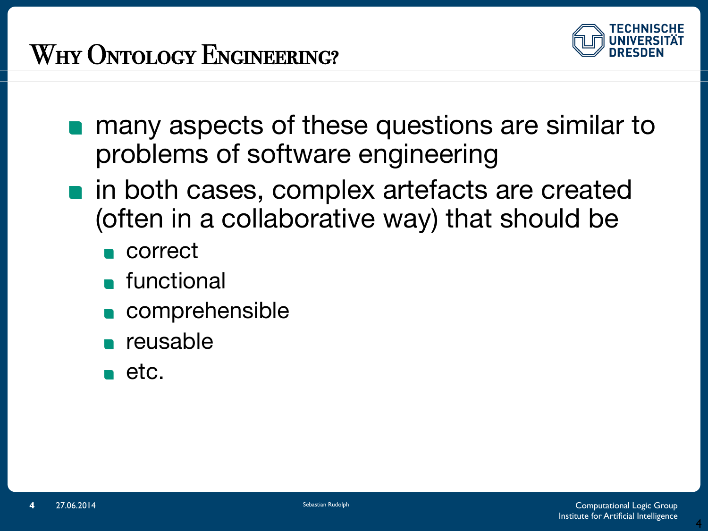## WHY ONTOLOGY ENGINEERING?



- **n** many aspects of these questions are similar to problems of software engineering
- **n** in both cases, complex artefacts are created (often in a collaborative way) that should be
	- **n** correct
	- **n** functional
	- **comprehensible**
	- **n** reusable
	- $\blacksquare$  etc.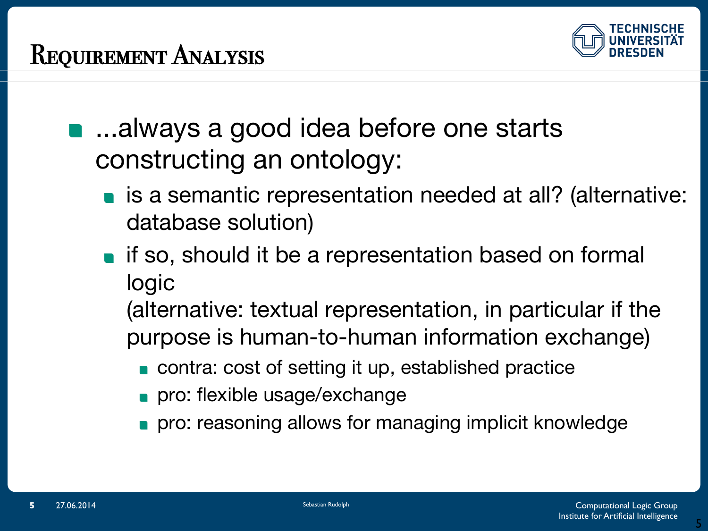

- …always a good idea before one starts constructing an ontology:
	- is a semantic representation needed at all? (alternative: database solution)
	- **if so, should it be a representation based on formal** logic
		- (alternative: textual representation, in particular if the purpose is human-to-human information exchange)
			- contra: cost of setting it up, established practice
			- pro: flexible usage/exchange
			- pro: reasoning allows for managing implicit knowledge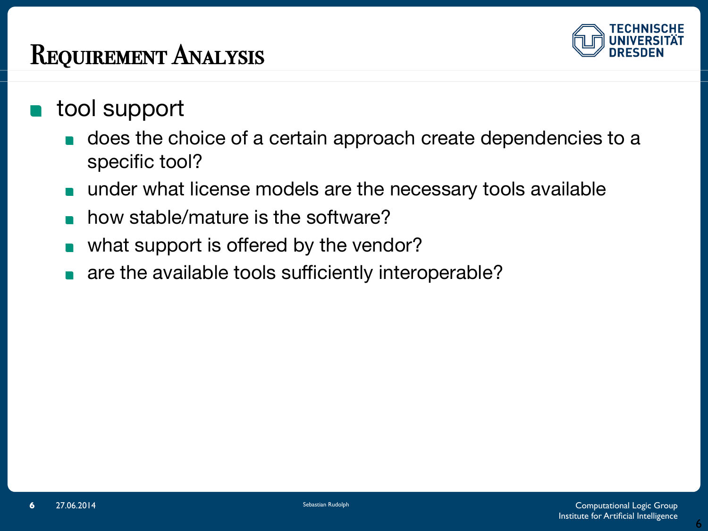#### REQUIREMENT ANALYSIS



- tool support
	- does the choice of a certain approach create dependencies to a specific tool?
	- under what license models are the necessary tools available
	- how stable/mature is the software?
	- what support is offered by the vendor?
	- are the available tools sufficiently interoperable?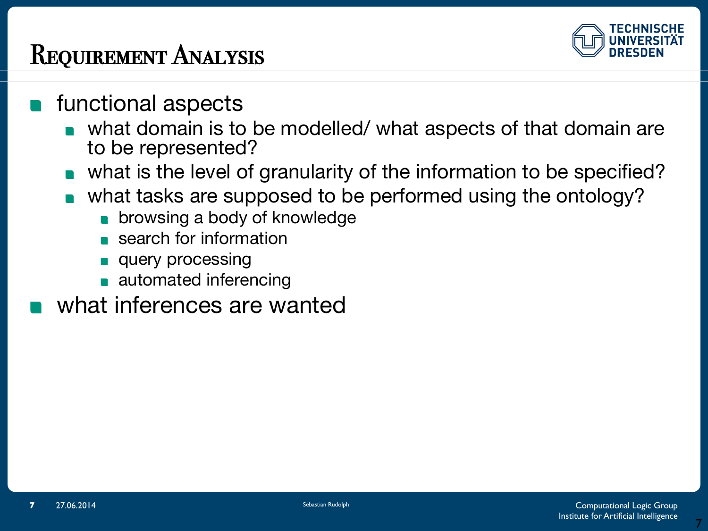#### REQUIREMENT ANALYSIS



- functional aspects
	- what domain is to be modelled/ what aspects of that domain are to be represented?
	- what is the level of granularity of the information to be specified?
	- what tasks are supposed to be performed using the ontology?
		- **browsing a body of knowledge**
		- search for information
		- query processing
		- **automated inferencing**
- what inferences are wanted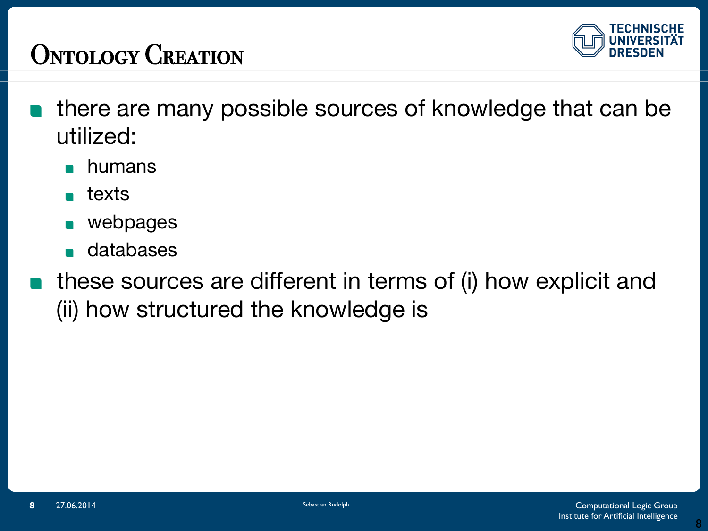## ONTOLOGY CREATION



- **there are many possible sources of knowledge that can be** utilized:
	- humans
	- **n** texts
	- webpages
	- databases
- these sources are different in terms of (i) how explicit and (ii) how structured the knowledge is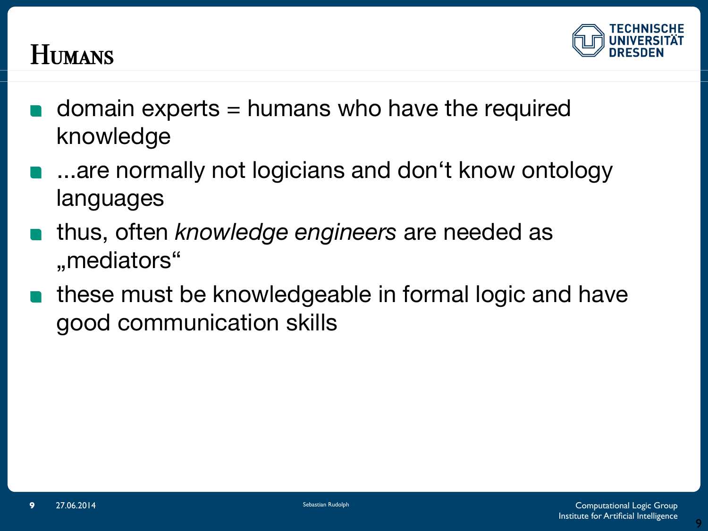

#### Humans!

- domain experts = humans who have the required knowledge
- ...are normally not logicians and don't know ontology languages
- thus, often *knowledge engineers* are needed as "mediators"
- these must be knowledgeable in formal logic and have  $\blacksquare$ good communication skills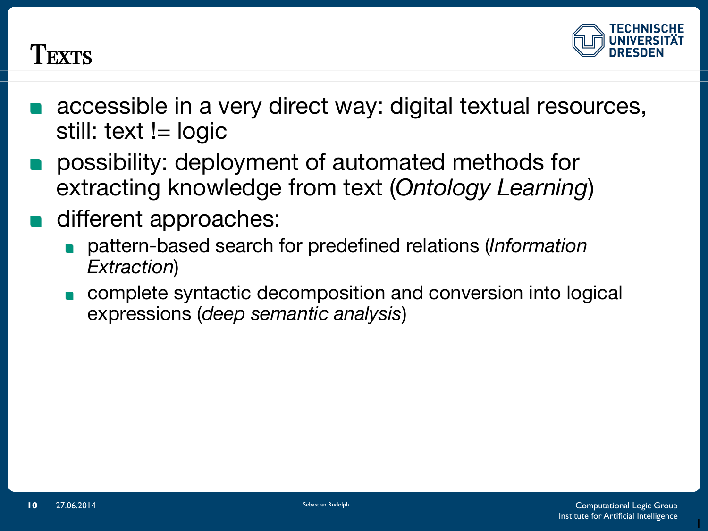

#### Texts

- accessible in a very direct way: digital textual resources, still: text != logic
- possibility: deployment of automated methods for extracting knowledge from text (*Ontology Learning*)
- different approaches:
	- pattern-based search for predefined relations (*Information Extraction*)
	- complete syntactic decomposition and conversion into logical expressions (*deep semantic analysis*)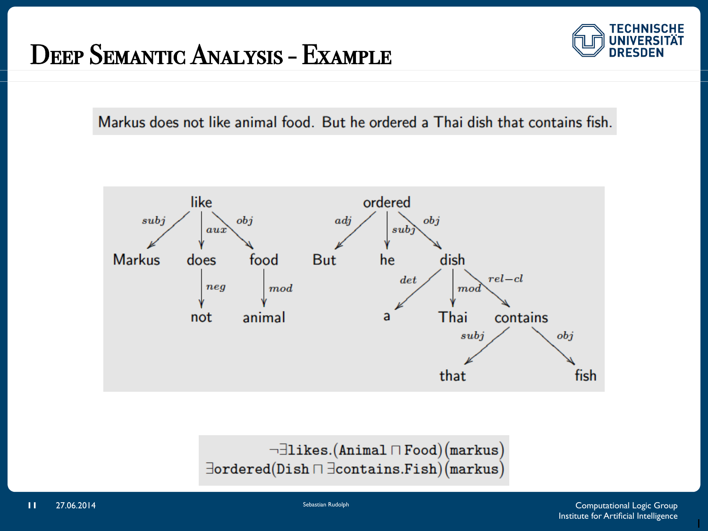#### DEEP SEMANTIC ANALYSIS - EXAMPLE



Markus does not like animal food. But he ordered a Thai dish that contains fish.



 $\neg \exists$ likes.(Animal  $\sqcap$  Food)(markus)  $\exists$ ordered(Dish $\sqcap \exists$ contains.Fish)(markus)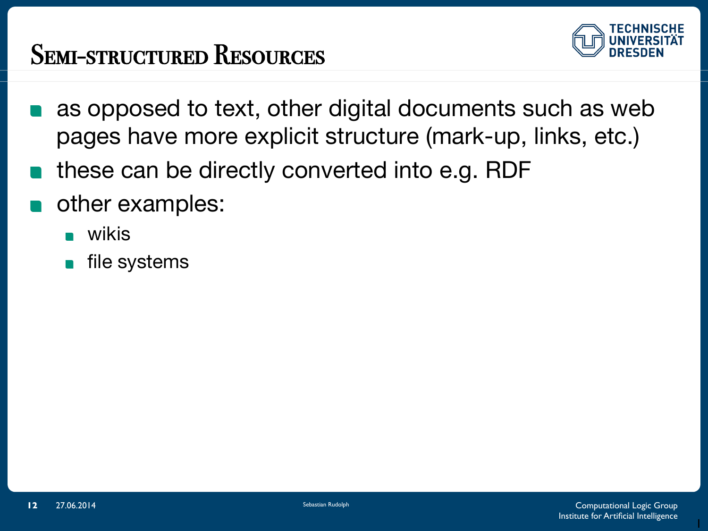## SEMI-STRUCTURED RESOURCES



- as opposed to text, other digital documents such as web pages have more explicit structure (mark-up, links, etc.)
- these can be directly converted into e.g. RDF
- other examples:
	- wikis
	- file systems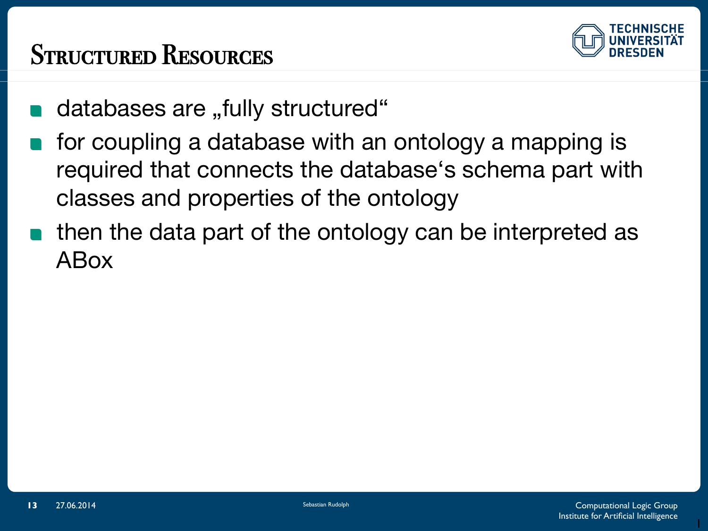## STRUCTURED RESOURCES



- databases are "fully structured"
- for coupling a database with an ontology a mapping is  $\mathcal{L}(\mathcal{L})$ required that connects the database's schema part with classes and properties of the ontology
- then the data part of the ontology can be interpreted as ABox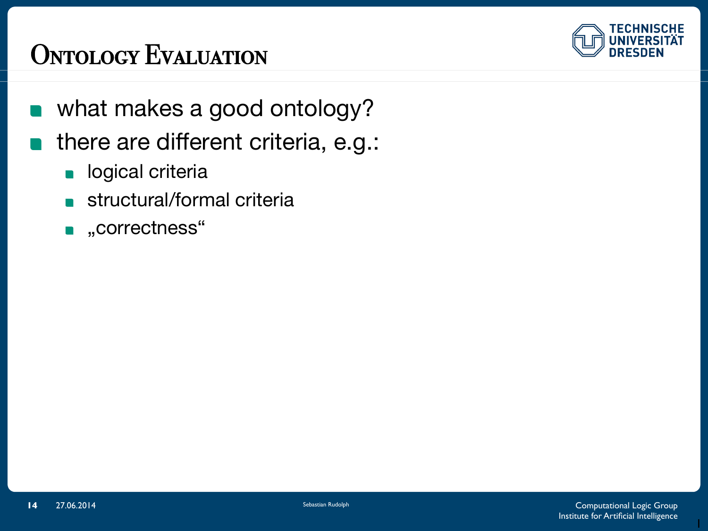## ONTOLOGY EVALUATION



- what makes a good ontology?  $\blacksquare$
- **n** there are different criteria, e.g.:
	- **logical criteria**
	- structural/formal criteria
	- **n**, correctness"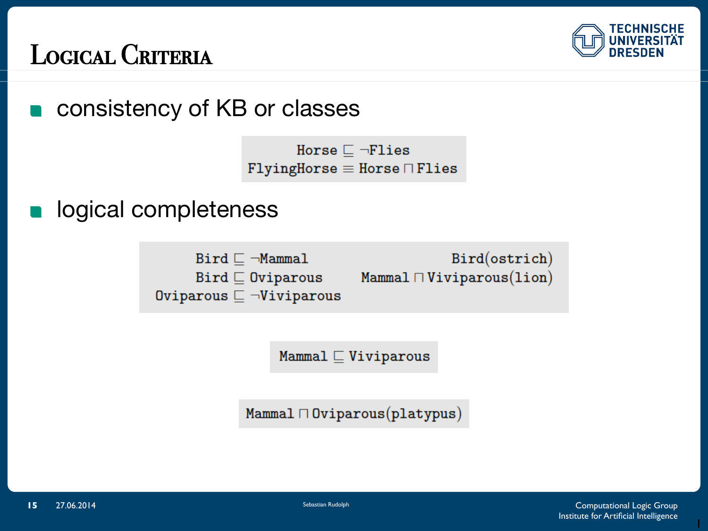

#### LOGICAL CRITERIA

consistency of KB or classes 

> Horse  $\Box$   $\neg$ Flies  $FlyingHorse \equiv Horse \sqcap Flies$

logical completeness

 $Bird \sqsubset \neg Mammal$  $Bird \sqsubseteq$  Oviparous Oviparous  $\sqsubset \neg$ Viviparous

Bird(ostrich) Mammal  $\sqcap$  Viviparous(lion)

Mammal  $\sqsubseteq$  Viviparous

 $Mammal \sqcap 0$ viparous $(platypus)$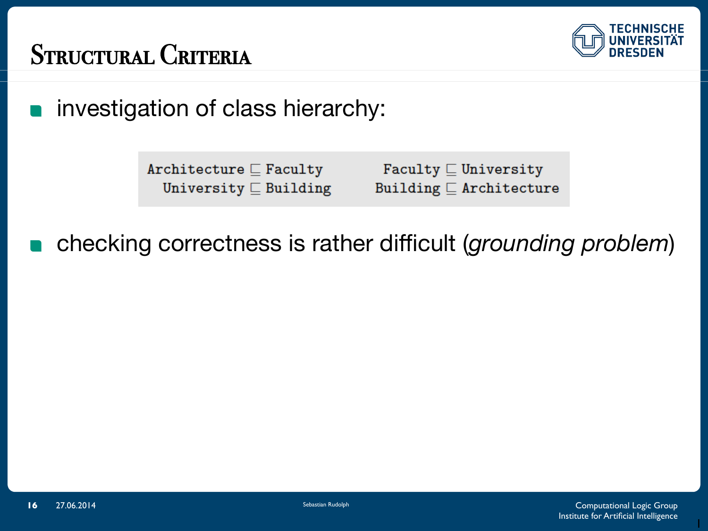

## STRUCTURAL CRITERIA

investigation of class hierarchy:  $\blacksquare$ 

> Architecture  $\sqsubseteq$  Faculty University  $\sqsubseteq$  Building

Faculty  $\sqsubseteq$  University Building  $\sqsubseteq$  Architecture

checking correctness is rather difficult (*grounding problem*)  $\blacksquare$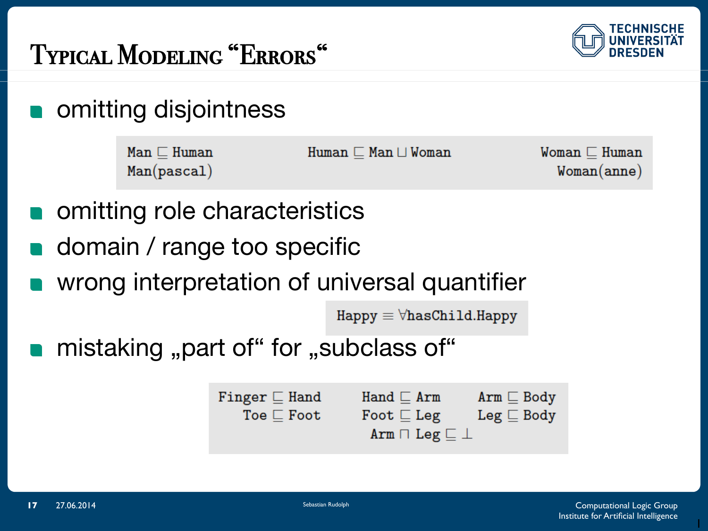



omitting disjointness

| $Man \sqsubset Human$ | $Human \sqsubset Man \sqcup Woman$ | $W$ oman $\Box$ Human |
|-----------------------|------------------------------------|-----------------------|
| Man(pascal)           |                                    | Woman(anne)           |

- omitting role characteristics
- domain / range too specific
- wrong interpretation of universal quantifier

 $H$ appy  $\equiv \forall$ hasChild.Happy

mistaking "part of" for "subclass of"

```
Finger \sqsubseteq Hand
                       Hand \sqsubset Arm
                                                    Arm \sqsubseteq Body
                       Foot \sqsubseteq Leg
                                                    Leg \sqsubseteq BodyToe \sqsubset Foot
                         Arm \sqcap Leg \sqsubseteq \bot
```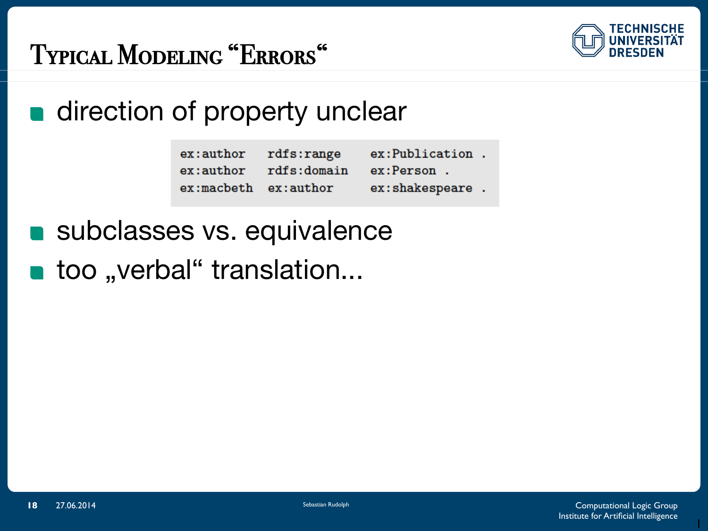

# TYPICAL MODELING "ERRORS"

## **n** direction of property unclear

| ex:author rdfs:range |                                  | ex:Publication.  |  |
|----------------------|----------------------------------|------------------|--|
|                      | ex:author rdfs:domain ex:Person. |                  |  |
| $ex:make$ ex: author |                                  | ex:shakespeare . |  |

subclasses vs. equivalence

too "verbal" translation...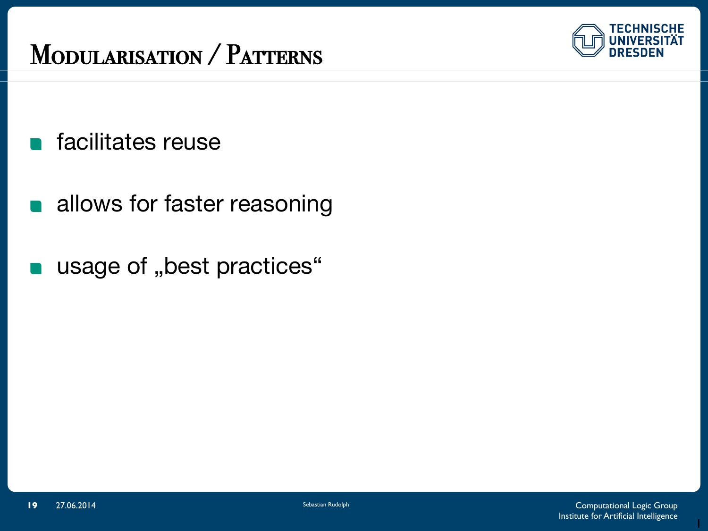#### MODULARISATION / PATTERNS



- **n** facilitates reuse
- allows for faster reasoning  $\begin{array}{c} \blacksquare \end{array}$
- usage of "best practices"